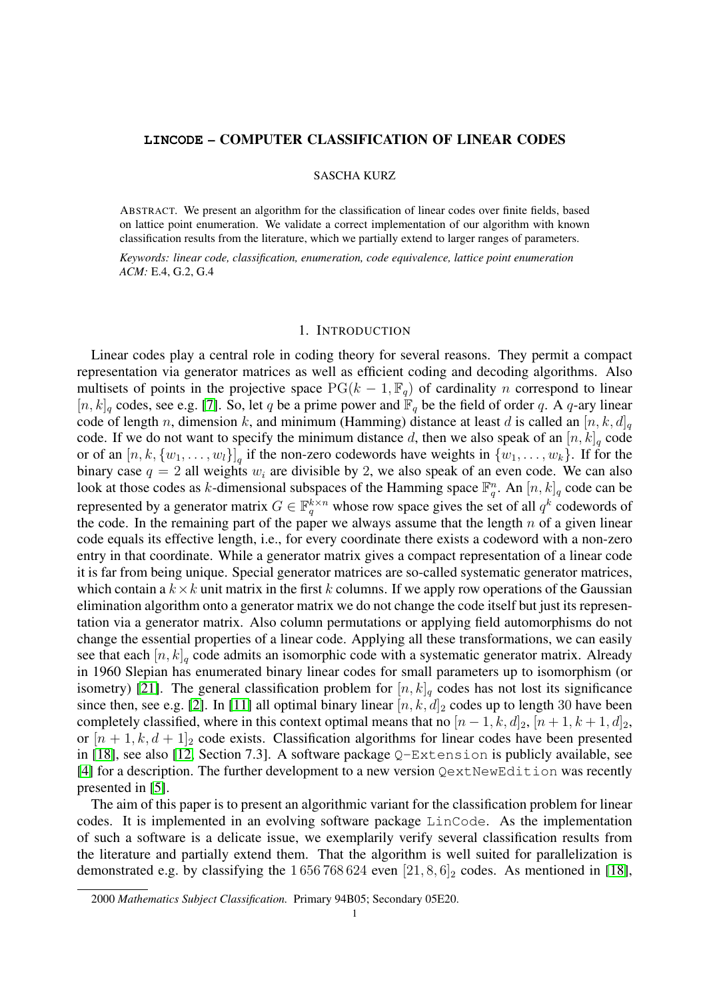### **LINCODE** – COMPUTER CLASSIFICATION OF LINEAR CODES

#### SASCHA KURZ

ABSTRACT. We present an algorithm for the classification of linear codes over finite fields, based on lattice point enumeration. We validate a correct implementation of our algorithm with known classification results from the literature, which we partially extend to larger ranges of parameters.

*Keywords: linear code, classification, enumeration, code equivalence, lattice point enumeration ACM:* E.4, G.2, G.4

## 1. INTRODUCTION

Linear codes play a central role in coding theory for several reasons. They permit a compact representation via generator matrices as well as efficient coding and decoding algorithms. Also multisets of points in the projective space  $PG(k - 1, \mathbb{F}_q)$  of cardinality n correspond to linear  $[n, k]_q$  codes, see e.g. [\[7\]](#page-11-0). So, let q be a prime power and  $\mathbb{F}_q$  be the field of order q. A q-ary linear code of length n, dimension k, and minimum (Hamming) distance at least d is called an  $[n, k, d]_q$ code. If we do not want to specify the minimum distance d, then we also speak of an  $[n, k]_q$  code or of an  $[n, k, \{w_1, \ldots, w_l\}]_q$  if the non-zero codewords have weights in  $\{w_1, \ldots, w_k\}$ . If for the binary case  $q = 2$  all weights  $w_i$  are divisible by 2, we also speak of an even code. We can also look at those codes as k-dimensional subspaces of the Hamming space  $\mathbb{F}_q^n$ . An  $[n, k]_q$  code can be represented by a generator matrix  $G \in \mathbb{F}_q^{k \times n}$  whose row space gives the set of all  $q^k$  codewords of the code. In the remaining part of the paper we always assume that the length  $n$  of a given linear code equals its effective length, i.e., for every coordinate there exists a codeword with a non-zero entry in that coordinate. While a generator matrix gives a compact representation of a linear code it is far from being unique. Special generator matrices are so-called systematic generator matrices, which contain a  $k \times k$  unit matrix in the first k columns. If we apply row operations of the Gaussian elimination algorithm onto a generator matrix we do not change the code itself but just its representation via a generator matrix. Also column permutations or applying field automorphisms do not change the essential properties of a linear code. Applying all these transformations, we can easily see that each  $[n, k]_q$  code admits an isomorphic code with a systematic generator matrix. Already in 1960 Slepian has enumerated binary linear codes for small parameters up to isomorphism (or isometry) [\[21\]](#page-11-1). The general classification problem for  $[n, k]_q$  codes has not lost its significance since then, see e.g. [\[2\]](#page-11-2). In [\[11\]](#page-11-3) all optimal binary linear  $[n, k, d]_2$  codes up to length 30 have been completely classified, where in this context optimal means that no  $[n-1, k, d]_2$ ,  $[n+1, k+1, d]_2$ , or  $[n+1, k, d+1]_2$  code exists. Classification algorithms for linear codes have been presented in [\[18\]](#page-11-4), see also [\[12,](#page-11-5) Section 7.3]. A software package Q-Extension is publicly available, see [\[4\]](#page-11-6) for a description. The further development to a new version QextNewEdition was recently presented in [\[5\]](#page-11-7).

The aim of this paper is to present an algorithmic variant for the classification problem for linear codes. It is implemented in an evolving software package LinCode. As the implementation of such a software is a delicate issue, we exemplarily verify several classification results from the literature and partially extend them. That the algorithm is well suited for parallelization is demonstrated e.g. by classifying the  $1\,656\,768\,624$  even  $[21, 8, 6]_2$  codes. As mentioned in [\[18\]](#page-11-4),

<sup>2000</sup> *Mathematics Subject Classification.* Primary 94B05; Secondary 05E20.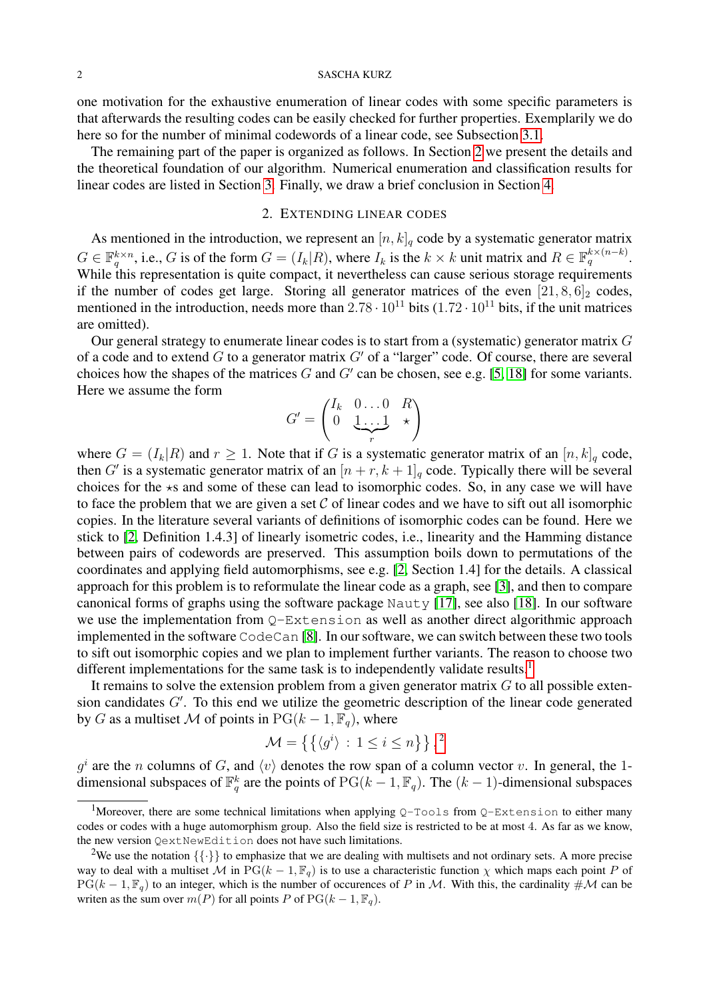one motivation for the exhaustive enumeration of linear codes with some specific parameters is that afterwards the resulting codes can be easily checked for further properties. Exemplarily we do here so for the number of minimal codewords of a linear code, see Subsection [3.1.](#page-9-0)

The remaining part of the paper is organized as follows. In Section [2](#page-1-0) we present the details and the theoretical foundation of our algorithm. Numerical enumeration and classification results for linear codes are listed in Section [3.](#page-6-0) Finally, we draw a brief conclusion in Section [4.](#page-10-0)

# 2. EXTENDING LINEAR CODES

<span id="page-1-0"></span>As mentioned in the introduction, we represent an  $[n, k]_q$  code by a systematic generator matrix  $G \in \mathbb{F}_q^{k \times n}$ , i.e., G is of the form  $G = (I_k|R)$ , where  $I_k$  is the  $k \times k$  unit matrix and  $R \in \mathbb{F}_q^{k \times (n-k)}$ . While this representation is quite compact, it nevertheless can cause serious storage requirements if the number of codes get large. Storing all generator matrices of the even  $[21, 8, 6]_2$  codes, mentioned in the introduction, needs more than  $2.78 \cdot 10^{11}$  bits (1.72  $\cdot$  10<sup>11</sup> bits, if the unit matrices are omitted).

Our general strategy to enumerate linear codes is to start from a (systematic) generator matrix G of a code and to extend G to a generator matrix  $G'$  of a "larger" code. Of course, there are several choices how the shapes of the matrices  $G$  and  $G'$  can be chosen, see e.g. [\[5,](#page-11-7) [18\]](#page-11-4) for some variants. Here we assume the form

$$
G' = \begin{pmatrix} I_k & 0 \dots 0 & R \\ 0 & \underbrace{1 \dots 1}_{r} & \star \end{pmatrix}
$$

where  $G = (I_k|R)$  and  $r \geq 1$ . Note that if G is a systematic generator matrix of an  $[n, k]_q$  code, then G' is a systematic generator matrix of an  $[n + r, k + 1]_q$  code. Typically there will be several choices for the  $\star s$  and some of these can lead to isomorphic codes. So, in any case we will have to face the problem that we are given a set  $C$  of linear codes and we have to sift out all isomorphic copies. In the literature several variants of definitions of isomorphic codes can be found. Here we stick to [\[2,](#page-11-2) Definition 1.4.3] of linearly isometric codes, i.e., linearity and the Hamming distance between pairs of codewords are preserved. This assumption boils down to permutations of the coordinates and applying field automorphisms, see e.g. [\[2,](#page-11-2) Section 1.4] for the details. A classical approach for this problem is to reformulate the linear code as a graph, see [\[3\]](#page-11-8), and then to compare canonical forms of graphs using the software package Nauty [\[17\]](#page-11-9), see also [\[18\]](#page-11-4). In our software we use the implementation from  $Q$ -Extension as well as another direct algorithmic approach implemented in the software CodeCan [\[8\]](#page-11-10). In our software, we can switch between these two tools to sift out isomorphic copies and we plan to implement further variants. The reason to choose two different implementations for the same task is to independently validate results.<sup>[1](#page-1-1)</sup>

It remains to solve the extension problem from a given generator matrix  $G$  to all possible extension candidates  $G'$ . To this end we utilize the geometric description of the linear code generated by G as a multiset M of points in  $PG(k-1, \mathbb{F}_q)$ , where

$$
\mathcal{M} = \left\{ \left\{ \langle g^i \rangle \, : \, 1 \le i \le n \right\} \right\},^2
$$

 $g^i$  are the n columns of G, and  $\langle v \rangle$  denotes the row span of a column vector v. In general, the 1dimensional subspaces of  $\mathbb{F}_q^k$  are the points of  $PG(k-1, \mathbb{F}_q)$ . The  $(k-1)$ -dimensional subspaces

<span id="page-1-1"></span><sup>&</sup>lt;sup>1</sup>Moreover, there are some technical limitations when applying  $Q$ -Tools from  $Q$ -Extension to either many codes or codes with a huge automorphism group. Also the field size is restricted to be at most 4. As far as we know, the new version QextNewEdition does not have such limitations.

<span id="page-1-2"></span><sup>&</sup>lt;sup>2</sup>We use the notation  $\{\{\cdot\}\}\$ to emphasize that we are dealing with multisets and not ordinary sets. A more precise way to deal with a multiset M in PG( $k-1, \mathbb{F}_q$ ) is to use a characteristic function  $\chi$  which maps each point P of  $PG(k-1,\mathbb{F}_q)$  to an integer, which is the number of occurences of P in M. With this, the cardinality  $\#\mathcal{M}$  can be writen as the sum over  $m(P)$  for all points P of PG( $k - 1$ ,  $\mathbb{F}_q$ ).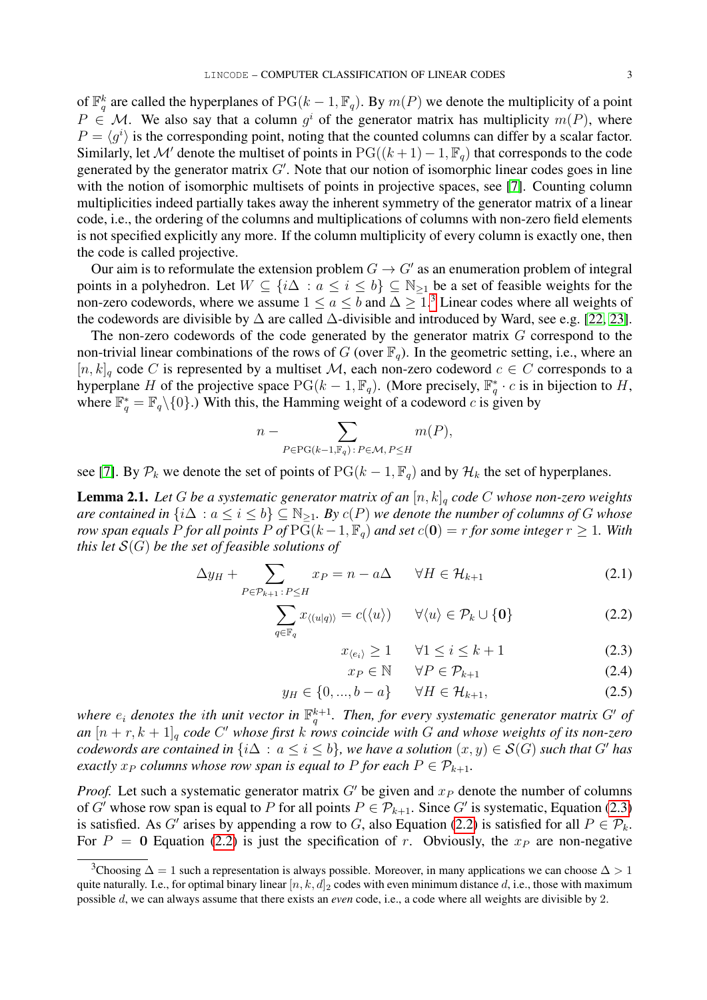of  $\mathbb{F}_q^k$  are called the hyperplanes of  $PG(k-1, \mathbb{F}_q)$ . By  $m(P)$  we denote the multiplicity of a point  $P \in \mathcal{M}$ . We also say that a column  $g^i$  of the generator matrix has multiplicity  $m(P)$ , where  $P = \langle g^i \rangle$  is the corresponding point, noting that the counted columns can differ by a scalar factor. Similarly, let M' denote the multiset of points in PG( $(k + 1) - 1$ ,  $\mathbb{F}_q$ ) that corresponds to the code generated by the generator matrix  $G'$ . Note that our notion of isomorphic linear codes goes in line with the notion of isomorphic multisets of points in projective spaces, see [\[7\]](#page-11-0). Counting column multiplicities indeed partially takes away the inherent symmetry of the generator matrix of a linear code, i.e., the ordering of the columns and multiplications of columns with non-zero field elements is not specified explicitly any more. If the column multiplicity of every column is exactly one, then the code is called projective.

Our aim is to reformulate the extension problem  $G \to G'$  as an enumeration problem of integral points in a polyhedron. Let  $W \subseteq \{i\Delta : a \leq i \leq b\} \subseteq \mathbb{N}_{\geq 1}$  be a set of feasible weights for the non-zero codewords, where we assume  $1 \le a \le b$  and  $\Delta \ge 1$ .<sup>[3](#page-2-0)</sup> Linear codes where all weights of the codewords are divisible by  $\Delta$  are called  $\Delta$ -divisible and introduced by Ward, see e.g. [\[22,](#page-11-11) [23\]](#page-11-12).

The non-zero codewords of the code generated by the generator matrix  $G$  correspond to the non-trivial linear combinations of the rows of G (over  $\mathbb{F}_q$ ). In the geometric setting, i.e., where an  $[n, k]_q$  code C is represented by a multiset M, each non-zero codeword  $c \in C$  corresponds to a hyperplane H of the projective space  $PG(k-1, \mathbb{F}_q)$ . (More precisely,  $\mathbb{F}_q^* \cdot c$  is in bijection to H, where  $\mathbb{F}_q^* = \mathbb{F}_q \setminus \{0\}$ .) With this, the Hamming weight of a codeword c is given by

$$
n - \sum_{P \in \text{PG}(k-1, \mathbb{F}_q) : P \in \mathcal{M}, P \leq H} m(P),
$$

see [\[7\]](#page-11-0). By  $P_k$  we denote the set of points of  $PG(k-1, \mathbb{F}_q)$  and by  $\mathcal{H}_k$  the set of hyperplanes.

<span id="page-2-2"></span>**Lemma 2.1.** Let G be a systematic generator matrix of an  $[n, k]_q$  code C whose non-zero weights *are contained in*  $\{i\Delta : a \leq i \leq b\} \subseteq \mathbb{N}_{\geq 1}$ *. By*  $c(P)$  *we denote the number of columns of* G *whose row span equals* P *for all points* P *of*  $PG(k-1, \mathbb{F}_q)$  *and set*  $c(\mathbf{0}) = r$  *for some integer*  $r \geq 1$ *. With this let* S(G) *be the set of feasible solutions of*

<span id="page-2-1"></span>
$$
\Delta y_H + \sum_{P \in \mathcal{P}_{k+1} : P \le H} x_P = n - a\Delta \qquad \forall H \in \mathcal{H}_{k+1} \tag{2.1}
$$

$$
\sum_{q \in \mathbb{F}_q} x_{\langle (u|q) \rangle} = c(\langle u \rangle) \qquad \forall \langle u \rangle \in \mathcal{P}_k \cup \{0\} \tag{2.2}
$$

$$
x_{\langle e_i \rangle} \ge 1 \qquad \forall 1 \le i \le k+1 \tag{2.3}
$$

$$
x_P \in \mathbb{N} \qquad \forall P \in \mathcal{P}_{k+1} \tag{2.4}
$$

$$
y_H \in \{0, ..., b - a\} \quad \forall H \in \mathcal{H}_{k+1},
$$
\n(2.5)

where  $e_i$  denotes the ith unit vector in  $\mathbb{F}_q^{k+1}$ . Then, for every systematic generator matrix G' of *an* [n + r, k + 1]<sup>q</sup> *code* C <sup>0</sup> *whose first* k *rows coincide with* G *and whose weights of its non-zero codewords are contained in*  $\{i\Delta : a \leq i \leq b\}$ *, we have a solution*  $(x, y) \in S(G)$  *such that* G' *has exactly*  $x_P$  *columns whose row span is equal to* P *for each*  $P \in \mathcal{P}_{k+1}$ *.* 

*Proof.* Let such a systematic generator matrix  $G'$  be given and  $x_P$  denote the number of columns of G' whose row span is equal to P for all points  $P \in \mathcal{P}_{k+1}$ . Since G' is systematic, Equation [\(2.3\)](#page-2-1) is satisfied. As G' arises by appending a row to G, also Equation [\(2.2\)](#page-2-1) is satisfied for all  $P \in \mathcal{P}_k$ . For  $P = 0$  Equation [\(2.2\)](#page-2-1) is just the specification of r. Obviously, the  $x_P$  are non-negative

<span id="page-2-0"></span><sup>&</sup>lt;sup>3</sup>Choosing  $\Delta = 1$  such a representation is always possible. Moreover, in many applications we can choose  $\Delta > 1$ quite naturally. I.e., for optimal binary linear  $[n, k, d]_2$  codes with even minimum distance d, i.e., those with maximum possible d, we can always assume that there exists an *even* code, i.e., a code where all weights are divisible by 2.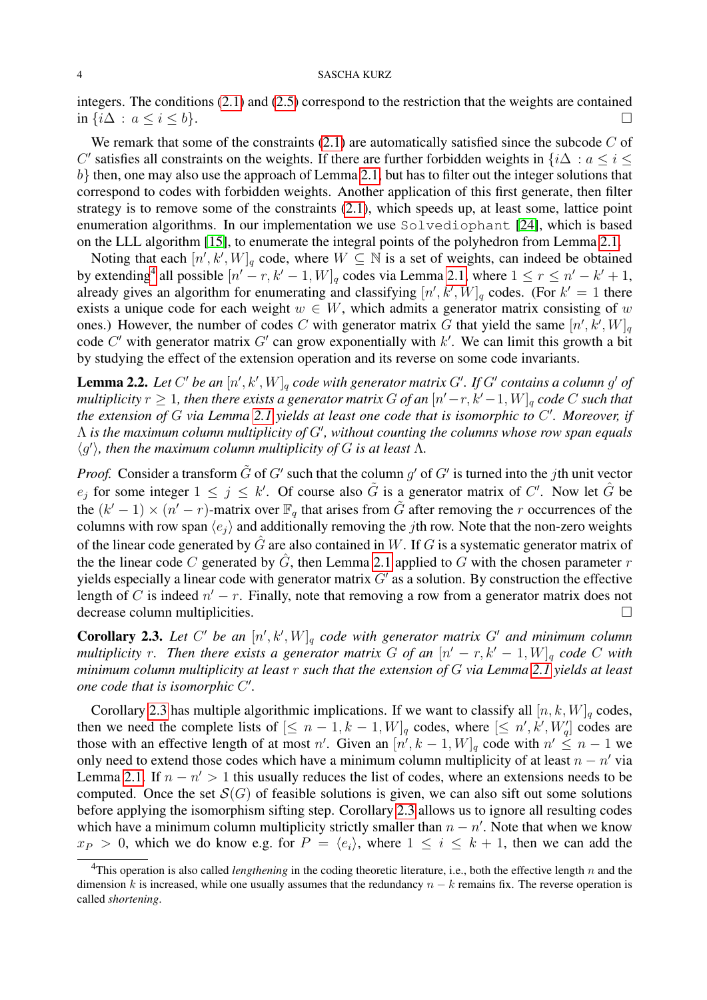integers. The conditions [\(2.1\)](#page-2-1) and [\(2.5\)](#page-2-1) correspond to the restriction that the weights are contained in  $\{i\Delta : a \leq i \leq b\}$ .  $\Box$ 

We remark that some of the constraints  $(2.1)$  are automatically satisfied since the subcode C of C' satisfies all constraints on the weights. If there are further forbidden weights in  $\{i\Delta : a \leq i \leq n\}$  $b$ } then, one may also use the approach of Lemma [2.1,](#page-2-2) but has to filter out the integer solutions that correspond to codes with forbidden weights. Another application of this first generate, then filter strategy is to remove some of the constraints [\(2.1\)](#page-2-1), which speeds up, at least some, lattice point enumeration algorithms. In our implementation we use Solvediophant [\[24\]](#page-11-13), which is based on the LLL algorithm [\[15\]](#page-11-14), to enumerate the integral points of the polyhedron from Lemma [2.1.](#page-2-2)

Noting that each  $[n', k', W]_q$  code, where  $W \subseteq \mathbb{N}$  is a set of weights, can indeed be obtained by extending<sup>[4](#page-3-0)</sup> all possible  $[n'-r, k'-1, W]_q$  codes via Lemma [2.1,](#page-2-2) where  $1 \le r \le n'-k'+1$ , already gives an algorithm for enumerating and classifying  $[n', k', W]_q$  codes. (For  $k' = 1$  there exists a unique code for each weight  $w \in W$ , which admits a generator matrix consisting of w ones.) However, the number of codes C with generator matrix G that yield the same  $[n', k', W]_q$ code C' with generator matrix G' can grow exponentially with k'. We can limit this growth a bit by studying the effect of the extension operation and its reverse on some code invariants.

<span id="page-3-2"></span>**Lemma 2.2.** Let C' be an  $[n', k', W]_q$  code with generator matrix G'. If G' contains a column g' of  $multiplicity \ r \geq 1,$  then there exists a generator matrix  $G$  of an  $[n'-r,k'-1,W]_q$  code  $C$  such that *the extension of* G *via Lemma [2.1](#page-2-2) yields at least one code that is isomorphic to* C 0 *. Moreover, if*  $\Lambda$  is the maximum column multiplicity of *G'*, without counting the columns whose row span equals  $\langle g' \rangle$ , then the maximum column multiplicity of G is at least  $\Lambda$ .

*Proof.* Consider a transform  $\tilde{G}$  of  $G'$  such that the column  $g'$  of  $G'$  is turned into the jth unit vector  $e_j$  for some integer  $1 \leq j \leq k'$ . Of course also  $\tilde{G}$  is a generator matrix of C'. Now let  $\hat{G}$  be the  $(k'-1) \times (n'-r)$ -matrix over  $\mathbb{F}_q$  that arises from  $\tilde{G}$  after removing the r occurrences of the columns with row span  $\langle e_i \rangle$  and additionally removing the jth row. Note that the non-zero weights of the linear code generated by  $\hat{G}$  are also contained in W. If G is a systematic generator matrix of the the linear code C generated by  $\hat{G}$ , then Lemma [2.1](#page-2-2) applied to G with the chosen parameter r yields especially a linear code with generator matrix  $G'$  as a solution. By construction the effective length of C is indeed  $n' - r$ . Finally, note that removing a row from a generator matrix does not decrease column multiplicities.

<span id="page-3-1"></span>**Corollary 2.3.** Let C' be an  $[n', k', W]_q$  code with generator matrix G' and minimum column *multiplicity* r. Then there exists a generator matrix G of an  $[n'-r, k'-1, W]_q$  code C with *minimum column multiplicity at least* r *such that the extension of* G *via Lemma [2.1](#page-2-2) yields at least one code that is isomorphic C'.* 

Corollary [2.3](#page-3-1) has multiple algorithmic implications. If we want to classify all  $[n, k, W]_q$  codes, then we need the complete lists of  $[\leq n-1, k-1, W]_q$  codes, where  $[\leq n', k', W'_q]$  codes are those with an effective length of at most n'. Given an  $[n', k-1, W]_q$  code with  $n' \leq n-1$  we only need to extend those codes which have a minimum column multiplicity of at least  $n - n'$  via Lemma [2.1.](#page-2-2) If  $n - n' > 1$  this usually reduces the list of codes, where an extensions needs to be computed. Once the set  $\mathcal{S}(G)$  of feasible solutions is given, we can also sift out some solutions before applying the isomorphism sifting step. Corollary [2.3](#page-3-1) allows us to ignore all resulting codes which have a minimum column multiplicity strictly smaller than  $n - n'$ . Note that when we know  $x_P > 0$ , which we do know e.g. for  $P = \langle e_i \rangle$ , where  $1 \le i \le k + 1$ , then we can add the

<span id="page-3-0"></span><sup>&</sup>lt;sup>4</sup>This operation is also called *lengthening* in the coding theoretic literature, i.e., both the effective length  $n$  and the dimension k is increased, while one usually assumes that the redundancy  $n - k$  remains fix. The reverse operation is called *shortening*.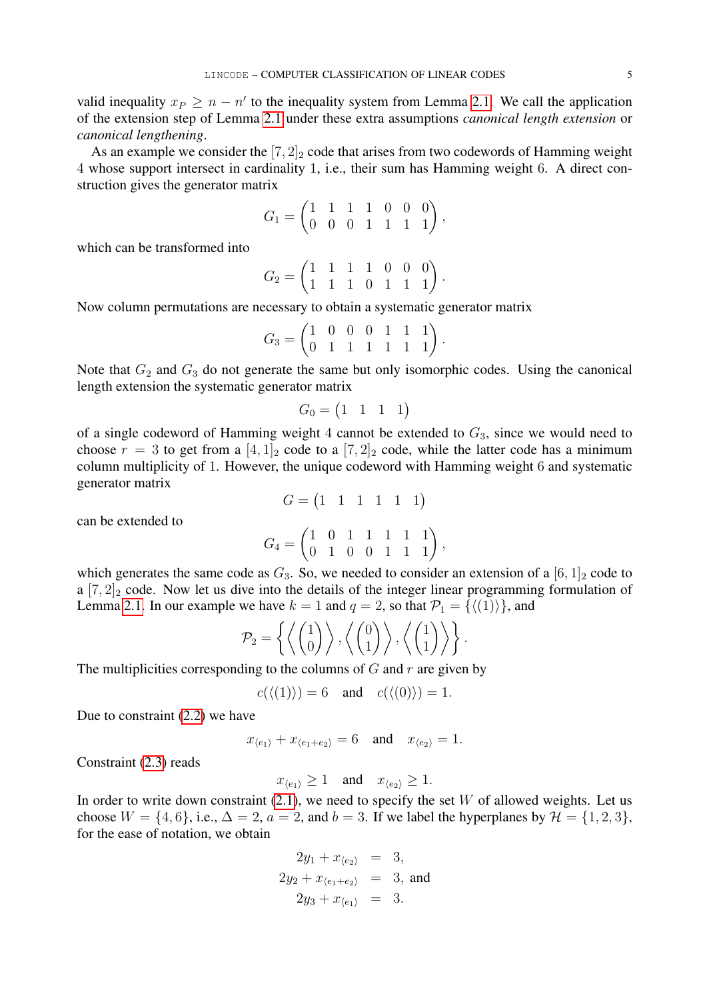valid inequality  $x_P \geq n - n'$  to the inequality system from Lemma [2.1.](#page-2-2) We call the application of the extension step of Lemma [2.1](#page-2-2) under these extra assumptions *canonical length extension* or *canonical lengthening*.

As an example we consider the  $[7, 2]_2$  code that arises from two codewords of Hamming weight 4 whose support intersect in cardinality 1, i.e., their sum has Hamming weight 6. A direct construction gives the generator matrix

$$
G_1 = \begin{pmatrix} 1 & 1 & 1 & 1 & 0 & 0 & 0 \\ 0 & 0 & 0 & 1 & 1 & 1 & 1 \end{pmatrix},
$$

which can be transformed into

$$
G_2 = \begin{pmatrix} 1 & 1 & 1 & 1 & 0 & 0 & 0 \\ 1 & 1 & 1 & 0 & 1 & 1 & 1 \end{pmatrix}.
$$

Now column permutations are necessary to obtain a systematic generator matrix

$$
G_3 = \begin{pmatrix} 1 & 0 & 0 & 0 & 1 & 1 & 1 \\ 0 & 1 & 1 & 1 & 1 & 1 & 1 \end{pmatrix}.
$$

Note that  $G_2$  and  $G_3$  do not generate the same but only isomorphic codes. Using the canonical length extension the systematic generator matrix

$$
G_0 = \begin{pmatrix} 1 & 1 & 1 & 1 \end{pmatrix}
$$

of a single codeword of Hamming weight 4 cannot be extended to  $G_3$ , since we would need to choose  $r = 3$  to get from a  $[4, 1]_2$  code to a  $[7, 2]_2$  code, while the latter code has a minimum column multiplicity of 1. However, the unique codeword with Hamming weight 6 and systematic generator matrix

 $G = \begin{pmatrix} 1 & 1 & 1 & 1 & 1 & 1 \end{pmatrix}$ 

can be extended to

$$
G_4 = \begin{pmatrix} 1 & 0 & 1 & 1 & 1 & 1 & 1 \\ 0 & 1 & 0 & 0 & 1 & 1 & 1 \end{pmatrix},
$$

which generates the same code as  $G_3$ . So, we needed to consider an extension of a  $[6, 1]_2$  code to a  $[7, 2]_2$  code. Now let us dive into the details of the integer linear programming formulation of Lemma [2.1.](#page-2-2) In our example we have  $k = 1$  and  $q = 2$ , so that  $\mathcal{P}_1 = \{ \langle (1) \rangle \}$ , and

$$
\mathcal{P}_2 = \left\{ \left\langle \begin{pmatrix} 1 \\ 0 \end{pmatrix} \right\rangle, \left\langle \begin{pmatrix} 0 \\ 1 \end{pmatrix} \right\rangle, \left\langle \begin{pmatrix} 1 \\ 1 \end{pmatrix} \right\rangle \right\}.
$$

The multiplicities corresponding to the columns of  $G$  and  $r$  are given by

$$
c(\langle (1) \rangle) = 6 \quad \text{and} \quad c(\langle (0) \rangle) = 1.
$$

Due to constraint [\(2.2\)](#page-2-1) we have

$$
x_{\langle e_1 \rangle} + x_{\langle e_1 + e_2 \rangle} = 6 \quad \text{and} \quad x_{\langle e_2 \rangle} = 1.
$$

Constraint [\(2.3\)](#page-2-1) reads

$$
x_{\langle e_1 \rangle} \ge 1
$$
 and  $x_{\langle e_2 \rangle} \ge 1$ .

In order to write down constraint  $(2.1)$ , we need to specify the set W of allowed weights. Let us choose  $W = \{4, 6\}$ , i.e.,  $\Delta = 2$ ,  $a = 2$ , and  $b = 3$ . If we label the hyperplanes by  $\mathcal{H} = \{1, 2, 3\}$ , for the ease of notation, we obtain

$$
2y_1 + x_{\langle e_2 \rangle} = 3,
$$
  
\n
$$
2y_2 + x_{\langle e_1 + e_2 \rangle} = 3,
$$
 and  
\n
$$
2y_3 + x_{\langle e_1 \rangle} = 3.
$$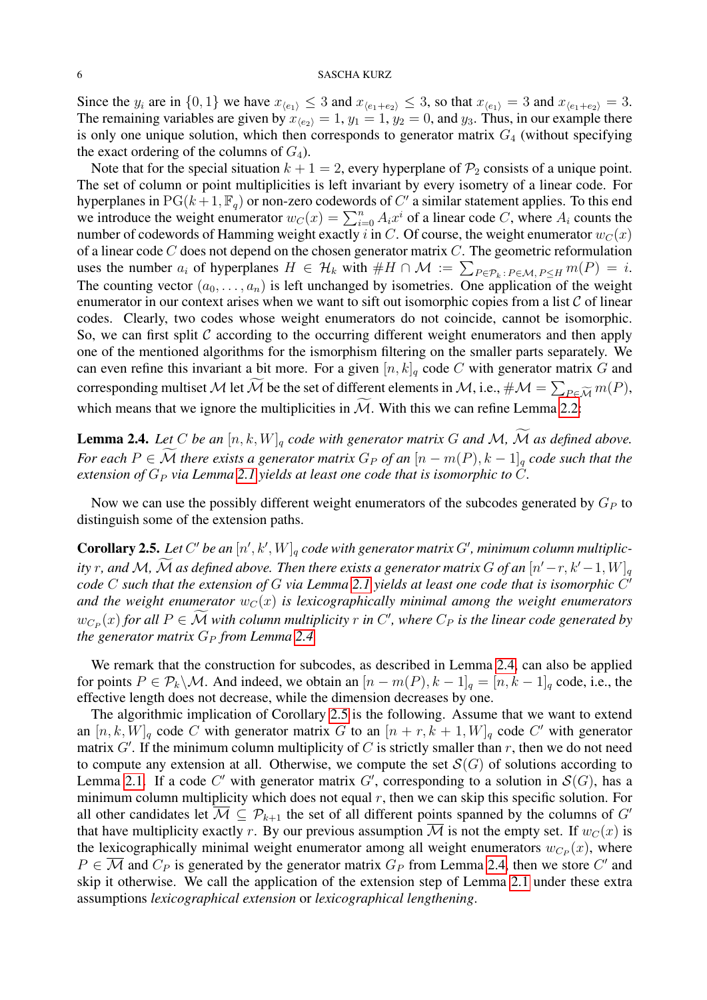Since the  $y_i$  are in  $\{0, 1\}$  we have  $x_{\langle e_1 \rangle} \leq 3$  and  $x_{\langle e_1 + e_2 \rangle} \leq 3$ , so that  $x_{\langle e_1 \rangle} = 3$  and  $x_{\langle e_1 + e_2 \rangle} = 3$ . The remaining variables are given by  $x_{\langle e_2 \rangle} = 1$ ,  $y_1 = 1$ ,  $y_2 = 0$ , and  $y_3$ . Thus, in our example there is only one unique solution, which then corresponds to generator matrix  $G_4$  (without specifying the exact ordering of the columns of  $G_4$ ).

Note that for the special situation  $k + 1 = 2$ , every hyperplane of  $\mathcal{P}_2$  consists of a unique point. The set of column or point multiplicities is left invariant by every isometry of a linear code. For hyperplanes in  $PG(k+1, \mathbb{F}_q)$  or non-zero codewords of C' a similar statement applies. To this end we introduce the weight enumerator  $w_C(x) = \sum_{i=0}^n A_i x^i$  of a linear code C, where  $A_i$  counts the number of codewords of Hamming weight exactly i in C. Of course, the weight enumerator  $w_C(x)$ of a linear code  $C$  does not depend on the chosen generator matrix  $C$ . The geometric reformulation uses the number  $a_i$  of hyperplanes  $H \in \mathcal{H}_k$  with  $\#H \cap \mathcal{M} := \sum_{P \in \mathcal{P}_k \colon P \in \mathcal{M}, P \le H} m(P) = i$ . The counting vector  $(a_0, \ldots, a_n)$  is left unchanged by isometries. One application of the weight enumerator in our context arises when we want to sift out isomorphic copies from a list  $C$  of linear codes. Clearly, two codes whose weight enumerators do not coincide, cannot be isomorphic. So, we can first split  $\mathcal C$  according to the occurring different weight enumerators and then apply one of the mentioned algorithms for the ismorphism filtering on the smaller parts separately. We can even refine this invariant a bit more. For a given  $[n, k]_q$  code C with generator matrix G and corresponding multiset  ${\cal M}$  let  ${\cal M}$  be the set of different elements in  ${\cal M}$ , i.e.,  $\#{\cal M}=\sum_{P\in \widetilde{\cal M}}m(P),$ which means that we ignore the multiplicities in  $\widetilde{M}$ . With this we can refine Lemma [2.2:](#page-3-2)

<span id="page-5-0"></span>**Lemma 2.4.** Let C be an  $[n, k, W]_q$  code with generator matrix G and M,  $\widetilde{M}$  as defined above. *For each*  $P \in \widetilde{\mathcal{M}}$  *there exists a generator matrix*  $G_P$  *of an*  $[n - m(P), k - 1]_q$  *code such that the extension of*  $G_P$  *via Lemma* [2.1](#page-2-2) *yields at least one code that is isomorphic to*  $\overline{C}$ *.* 

Now we can use the possibly different weight enumerators of the subcodes generated by  $G_P$  to distinguish some of the extension paths.

<span id="page-5-1"></span>**Corollary 2.5.** Let C' be an  $[n', k', W]_q$  code with generator matrix G', minimum column multiplic*ity* r, and M, M as defined above. Then there exists a generator matrix G of an  $[n'-r, k'-1, W]_q$ *code* C *such that the extension of* G *via Lemma [2.1](#page-2-2) yields at least one code that is isomorphic* C 0 and the weight enumerator  $w_C(x)$  is lexicographically minimal among the weight enumerators  $w_{C_P}(x)$  for all  $P \in \mathcal{M}$  with column multiplicity r in C', where  $C_P$  is the linear code generated by *the generator matrix*  $G_P$  *from Lemma* [2.4.](#page-5-0)

We remark that the construction for subcodes, as described in Lemma [2.4,](#page-5-0) can also be applied for points  $P \in \mathcal{P}_k \backslash \mathcal{M}$ . And indeed, we obtain an  $[n - m(P), k - 1]_q = [n, k - 1]_q$  code, i.e., the effective length does not decrease, while the dimension decreases by one.

The algorithmic implication of Corollary [2.5](#page-5-1) is the following. Assume that we want to extend an  $[n, k, W]_q$  code C with generator matrix G to an  $[n + r, k + 1, W]_q$  code C' with generator matrix  $G'$ . If the minimum column multiplicity of C is strictly smaller than r, then we do not need to compute any extension at all. Otherwise, we compute the set  $\mathcal{S}(G)$  of solutions according to Lemma [2.1.](#page-2-2) If a code C' with generator matrix G', corresponding to a solution in  $\mathcal{S}(G)$ , has a minimum column multiplicity which does not equal  $r$ , then we can skip this specific solution. For all other candidates let  $\overline{M} \subseteq \mathcal{P}_{k+1}$  the set of all different points spanned by the columns of G' that have multiplicity exactly r. By our previous assumption M is not the empty set. If  $w_C(x)$  is the lexicographically minimal weight enumerator among all weight enumerators  $w_{C_P}(x)$ , where  $P \in \overline{\mathcal{M}}$  and  $C_P$  is generated by the generator matrix  $G_P$  from Lemma [2.4,](#page-5-0) then we store  $C'$  and skip it otherwise. We call the application of the extension step of Lemma [2.1](#page-2-2) under these extra assumptions *lexicographical extension* or *lexicographical lengthening*.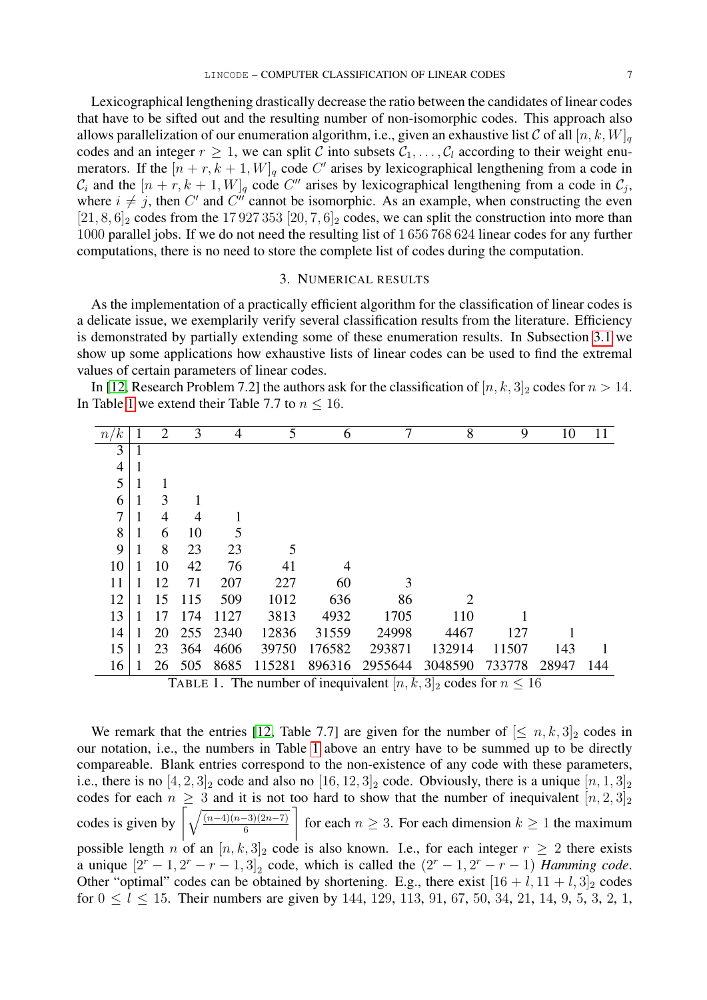Lexicographical lengthening drastically decrease the ratio between the candidates of linear codes that have to be sifted out and the resulting number of non-isomorphic codes. This approach also allows parallelization of our enumeration algorithm, i.e., given an exhaustive list C of all  $[n, k, W]_q$ codes and an integer  $r \geq 1$ , we can split C into subsets  $C_1, \ldots, C_l$  according to their weight enumerators. If the  $[n + r, k + 1, W]_q$  code C' arises by lexicographical lengthening from a code in  $\mathcal{C}_i$  and the  $[n + r, k + 1, W]_q$  code  $C''$  arises by lexicographical lengthening from a code in  $\mathcal{C}_j$ , where  $i \neq j$ , then C' and C'' cannot be isomorphic. As an example, when constructing the even  $[21, 8, 6]_2$  codes from the 17 927 353  $[20, 7, 6]_2$  codes, we can split the construction into more than

#### 3. NUMERICAL RESULTS

1000 parallel jobs. If we do not need the resulting list of 1 656 768 624 linear codes for any further

<span id="page-6-0"></span>computations, there is no need to store the complete list of codes during the computation.

As the implementation of a practically efficient algorithm for the classification of linear codes is a delicate issue, we exemplarily verify several classification results from the literature. Efficiency is demonstrated by partially extending some of these enumeration results. In Subsection [3.1](#page-9-0) we show up some applications how exhaustive lists of linear codes can be used to find the extremal values of certain parameters of linear codes.

In [\[12,](#page-11-5) Research Problem 7.2] the authors ask for the classification of  $[n, k, 3]_2$  codes for  $n > 14$ . In Table [1](#page-6-1) we extend their Table 7.7 to  $n \leq 16$ .

| n/k            |              | 2  | 3   | 4    | 5      | 6      |                                                                        | 8                     | 9      | 10    |     |
|----------------|--------------|----|-----|------|--------|--------|------------------------------------------------------------------------|-----------------------|--------|-------|-----|
| 3              | 1            |    |     |      |        |        |                                                                        |                       |        |       |     |
| $\overline{4}$ | $\mathbf{1}$ |    |     |      |        |        |                                                                        |                       |        |       |     |
| 5              | 1            |    |     |      |        |        |                                                                        |                       |        |       |     |
| 6              | 1            | 3  |     |      |        |        |                                                                        |                       |        |       |     |
| 7              | 1            | 4  | 4   |      |        |        |                                                                        |                       |        |       |     |
| 8              | 1            | 6  | 10  |      |        |        |                                                                        |                       |        |       |     |
| 9              | 1            | 8  | 23  | 23   | 5      |        |                                                                        |                       |        |       |     |
| 10             | 1            | 10 | 42  | 76   | 41     | 4      |                                                                        |                       |        |       |     |
| 11             | 1            | 12 | 71  | 207  | 227    | 60     | 3                                                                      |                       |        |       |     |
| 12             | 1            | 15 | 115 | 509  | 1012   | 636    | 86                                                                     | $\mathcal{D}_{\cdot}$ |        |       |     |
| 13             |              | 17 | 174 | 1127 | 3813   | 4932   | 1705                                                                   | 110                   |        |       |     |
| 14             | 1            | 20 | 255 | 2340 | 12836  | 31559  | 24998                                                                  | 4467                  | 127    |       |     |
| 15             | 1            | 23 | 364 | 4606 | 39750  | 176582 | 293871                                                                 | 132914                | 11507  | 143   |     |
| 16             | 1            | 26 | 505 | 8685 | 115281 | 896316 | 2955644                                                                | 3048590               | 733778 | 28947 | 144 |
|                |              |    |     |      |        |        | TABLE 1. The number of inequivalent $[n, k, 3]_2$ codes for $n \le 16$ |                       |        |       |     |

<span id="page-6-1"></span>We remark that the entries [\[12,](#page-11-5) Table 7.7] are given for the number of  $[\leq n, k, 3]_2$  codes in our notation, i.e., the numbers in Table [1](#page-6-1) above an entry have to be summed up to be directly compareable. Blank entries correspond to the non-existence of any code with these parameters, i.e., there is no  $[4, 2, 3]_2$  code and also no  $[16, 12, 3]_2$  code. Obviously, there is a unique  $[n, 1, 3]_2$ codes for each  $n \geq 3$  and it is not too hard to show that the number of inequivalent  $[n, 2, 3]_2$ codes is given by  $\sqrt{\frac{(n-4)(n-3)(2n-7)}{6}}$ 1 for each  $n \geq 3$ . For each dimension  $k \geq 1$  the maximum possible length n of an  $[n, k, 3]_2$  code is also known. I.e., for each integer  $r \geq 2$  there exists a unique  $[2^r - 1, 2^r - r - 1, 3]_2$  code, which is called the  $(2^r - 1, 2^r - r - 1)$  *Hamming code.* Other "optimal" codes can be obtained by shortening. E.g., there exist  $[16 + l, 11 + l, 3]_2$  codes for  $0 \le l \le 15$ . Their numbers are given by 144, 129, 113, 91, 67, 50, 34, 21, 14, 9, 5, 3, 2, 1,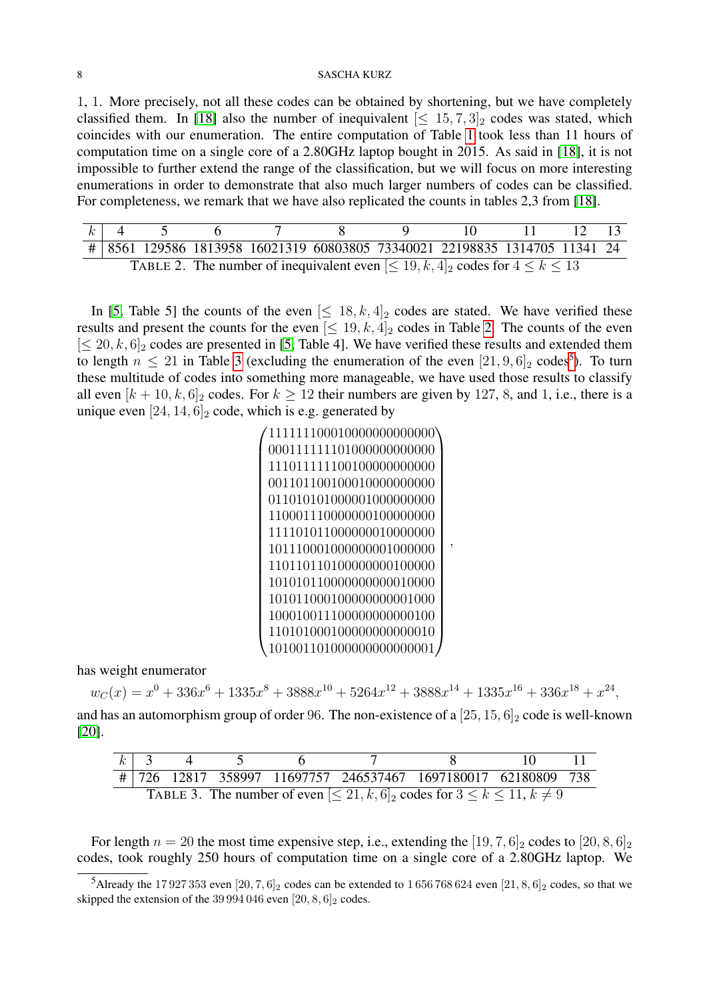1, 1. More precisely, not all these codes can be obtained by shortening, but we have completely classified them. In [\[18\]](#page-11-4) also the number of inequivalent  $\leq 15, 7, 3$  codes was stated, which coincides with our enumeration. The entire computation of Table [1](#page-6-1) took less than 11 hours of computation time on a single core of a 2.80GHz laptop bought in 2015. As said in [\[18\]](#page-11-4), it is not impossible to further extend the range of the classification, but we will focus on more interesting enumerations in order to demonstrate that also much larger numbers of codes can be classified. For completeness, we remark that we have also replicated the counts in tables 2,3 from [\[18\]](#page-11-4).

<span id="page-7-0"></span>

|  |  | # 8561 129586 1813958 16021319 60803805 73340021 22198835 1314705 11341 24            |  |  |  |
|--|--|---------------------------------------------------------------------------------------|--|--|--|
|  |  | TABLE 2. The number of inequivalent even $\leq 19, k, 4$ codes for $4 \leq k \leq 13$ |  |  |  |

In [\[5,](#page-11-7) Table 5] the counts of the even  $\leq 18, k, 4]_2$  codes are stated. We have verified these results and present the counts for the even  $\leq 19, k, 4$  codes in Table [2.](#page-7-0) The counts of the even  $[\leq 20, k, 6]_2$  codes are presented in [\[5,](#page-11-7) Table 4]. We have verified these results and extended them to length  $n \leq 21$  in Table [3](#page-7-1) (excluding the enumeration of the even  $[21, 9, 6]_2$  codes<sup>[5](#page-7-2)</sup>). To turn these multitude of codes into something more manageable, we have used those results to classify all even  $[k+10, k, 6]_2$  codes. For  $k \ge 12$  their numbers are given by 127, 8, and 1, i.e., there is a unique even  $[24, 14, 6]_2$  code, which is e.g. generated by

| 000111111101000000000000 |
|--------------------------|
| 111011111100100000000000 |
| 001101100100010000000000 |
| 011010101000001000000000 |
| 110001110000000100000000 |
| 111101011000000010000000 |
| 101110001000000001000000 |
| 110110110100000000100000 |
| 101010110000000000010000 |
| 101011000100000000001000 |
| 100010011100000000000100 |
| 110101000100000000000010 |
| 01001101000000000000001  |

,

has weight enumerator

 $w_C(x) = x^0 + 336x^6 + 1335x^8 + 3888x^{10} + 5264x^{12} + 3888x^{14} + 1335x^{16} + 336x^{18} + x^{24}$ 

and has an automorphism group of order 96. The non-existence of a  $[25, 15, 6]_2$  code is well-known [\[20\]](#page-11-15).

<span id="page-7-1"></span>

| $k$ 3                                                                                           |  |  |  |  |                                                               |  |  |  |  |  |
|-------------------------------------------------------------------------------------------------|--|--|--|--|---------------------------------------------------------------|--|--|--|--|--|
|                                                                                                 |  |  |  |  | # 726 12817 358997 11697757 246537467 1697180017 62180809 738 |  |  |  |  |  |
| TABLE 3. The number of even $\leq 21, k, 6$ <sub>2</sub> codes for $3 \leq k \leq 11, k \neq 9$ |  |  |  |  |                                                               |  |  |  |  |  |

For length  $n = 20$  the most time expensive step, i.e., extending the [19, 7, 6]<sub>2</sub> codes to [20, 8, 6]<sub>2</sub> codes, took roughly 250 hours of computation time on a single core of a 2.80GHz laptop. We

<span id="page-7-2"></span><sup>&</sup>lt;sup>5</sup>Already the 17 927 353 even  $[20, 7, 6]_2$  codes can be extended to 1 656 768 624 even  $[21, 8, 6]_2$  codes, so that we skipped the extension of the 39 994 046 even  $[20, 8, 6]_2$  codes.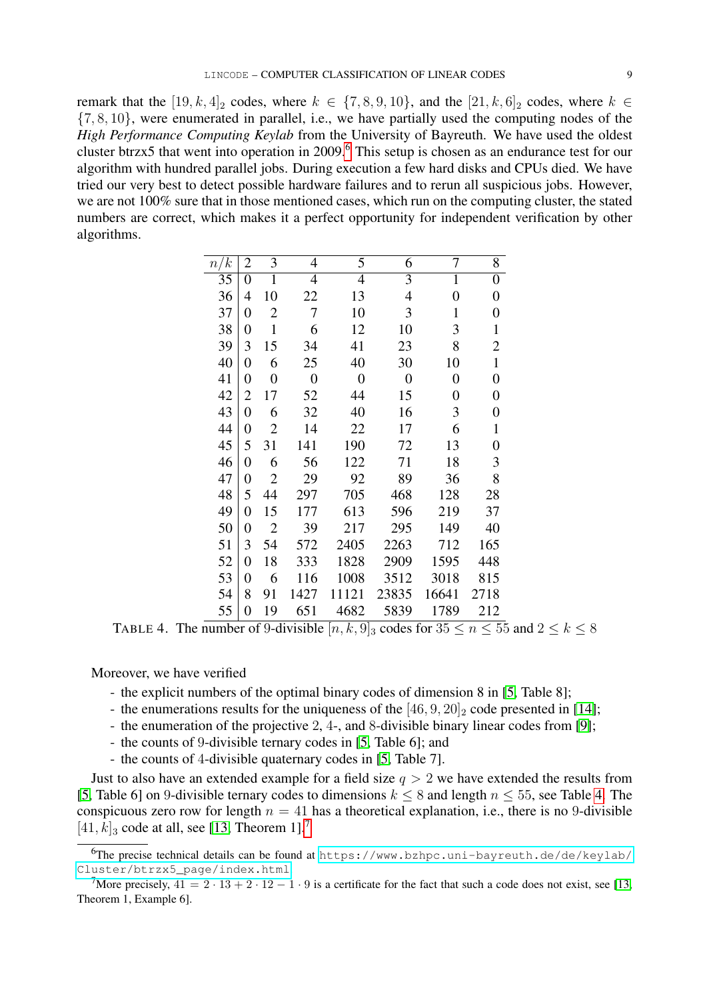remark that the  $[19, k, 4]_2$  codes, where  $k \in \{7, 8, 9, 10\}$ , and the  $[21, k, 6]_2$  codes, where  $k \in$  $\{7, 8, 10\}$ , were enumerated in parallel, i.e., we have partially used the computing nodes of the *High Performance Computing Keylab* from the University of Bayreuth. We have used the oldest cluster btrzx5 that went into operation in 2009.<sup>[6](#page-8-0)</sup> This setup is chosen as an endurance test for our algorithm with hundred parallel jobs. During execution a few hard disks and CPUs died. We have tried our very best to detect possible hardware failures and to rerun all suspicious jobs. However, we are not 100% sure that in those mentioned cases, which run on the computing cluster, the stated numbers are correct, which makes it a perfect opportunity for independent verification by other algorithms.

| n/k | $\overline{c}$ | 3              | 4                | 5              | 6                | 7                | 8                |
|-----|----------------|----------------|------------------|----------------|------------------|------------------|------------------|
| 35  | 0              | 1              | 4                | 4              | 3                | 1                | $\boldsymbol{0}$ |
| 36  | 4              | 10             | 22               | 13             | 4                | $\overline{0}$   | $\boldsymbol{0}$ |
| 37  | 0              | 2              | 7                | 10             | 3                | 1                | $\boldsymbol{0}$ |
| 38  | 0              | 1              | 6                | 12             | 10               | 3                | 1                |
| 39  | 3              | 15             | 34               | 41             | 23               | 8                | $\overline{2}$   |
| 40  | $\overline{0}$ | 6              | 25               | 40             | 30               | 10               | $\mathbf{1}$     |
| 41  | 0              | $\overline{0}$ | $\boldsymbol{0}$ | $\overline{0}$ | $\boldsymbol{0}$ | $\boldsymbol{0}$ | $\boldsymbol{0}$ |
| 42  | $\overline{2}$ | 17             | 52               | 44             | 15               | $\overline{0}$   | $\boldsymbol{0}$ |
| 43  | $\overline{0}$ | 6              | 32               | 40             | 16               | 3                | $\boldsymbol{0}$ |
| 44  | 0              | 2              | 14               | 22             | 17               | 6                | 1                |
| 45  | 5              | 31             | 141              | 190            | 72               | 13               | $\boldsymbol{0}$ |
| 46  | 0              | 6              | 56               | 122            | 71               | 18               | 3                |
| 47  | $\overline{0}$ | $\overline{2}$ | 29               | 92             | 89               | 36               | 8                |
| 48  | 5              | 44             | 297              | 705            | 468              | 128              | 28               |
| 49  | 0              | 15             | 177              | 613            | 596              | 219              | 37               |
| 50  | $\overline{0}$ | $\overline{2}$ | 39               | 217            | 295              | 149              | 40               |
| 51  | 3              | 54             | 572              | 2405           | 2263             | 712              | 165              |
| 52  | 0              | 18             | 333              | 1828           | 2909             | 1595             | 448              |
| 53  | 0              | 6              | 116              | 1008           | 3512             | 3018             | 815              |
| 54  | 8              | 91             | 1427             | 11121          | 23835            | 16641            | 2718             |
| 55  | $\overline{0}$ | 19             | 651              | 4682           | 5839             | 1789             | 212              |
|     |                |                |                  |                |                  |                  |                  |

<span id="page-8-1"></span>TABLE 4. The number of 9-divisible  $[n, k, 9]_3$  codes for  $35 \le n \le 55$  and  $2 \le k \le 8$ 

## Moreover, we have verified

- the explicit numbers of the optimal binary codes of dimension 8 in [\[5,](#page-11-7) Table 8];
- the enumerations results for the uniqueness of the  $[46, 9, 20]_2$  code presented in [\[14\]](#page-11-16);
- the enumeration of the projective 2, 4-, and 8-divisible binary linear codes from [\[9\]](#page-11-17);
- the counts of 9-divisible ternary codes in [\[5,](#page-11-7) Table 6]; and
- the counts of 4-divisible quaternary codes in [\[5,](#page-11-7) Table 7].

Just to also have an extended example for a field size  $q > 2$  we have extended the results from [\[5,](#page-11-7) Table 6] on 9-divisible ternary codes to dimensions  $k \le 8$  and length  $n \le 55$ , see Table [4.](#page-8-1) The conspicuous zero row for length  $n = 41$  has a theoretical explanation, i.e., there is no 9-divisible  $[41, k]_3$  code at all, see [\[13,](#page-11-18) Theorem 1].<sup>[7](#page-8-2)</sup>

<span id="page-8-0"></span><sup>6</sup>The precise technical details can be found at [https://www.bzhpc.uni-bayreuth.de/de/keylab/](https://www.bzhpc.uni-bayreuth.de/de/keylab/Cluster/btrzx5_page/index.html) [Cluster/btrzx5\\_page/index.html](https://www.bzhpc.uni-bayreuth.de/de/keylab/Cluster/btrzx5_page/index.html).

<span id="page-8-2"></span><sup>&</sup>lt;sup>7</sup>More precisely,  $41 = 2 \cdot 13 + 2 \cdot 12 - 1 \cdot 9$  is a certificate for the fact that such a code does not exist, see [\[13,](#page-11-18) Theorem 1, Example 6].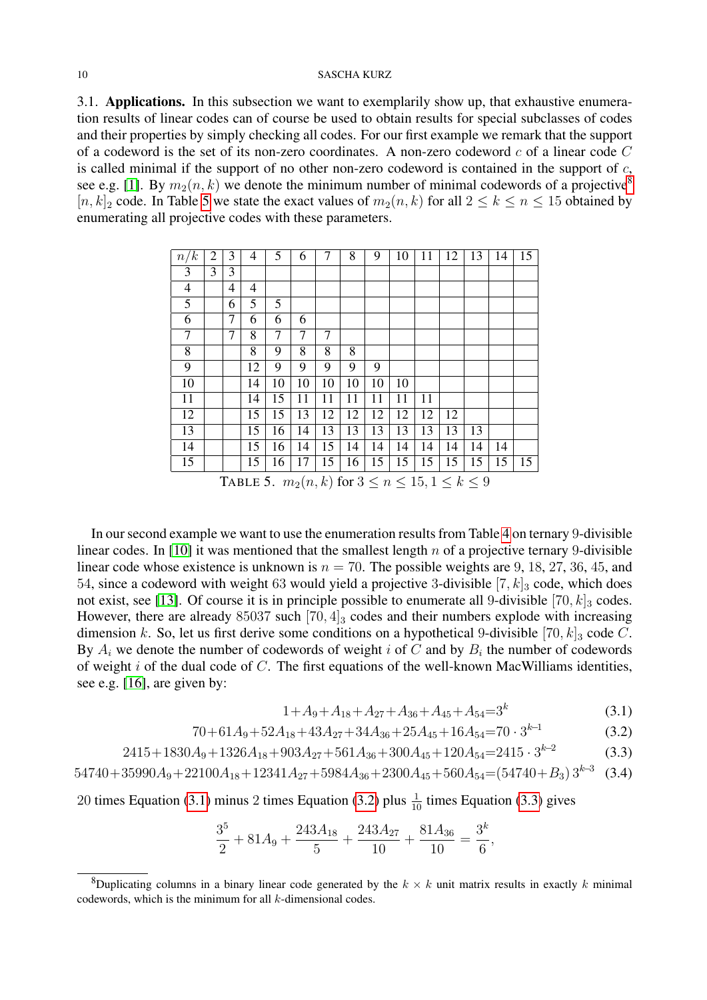<span id="page-9-0"></span>3.1. Applications. In this subsection we want to exemplarily show up, that exhaustive enumeration results of linear codes can of course be used to obtain results for special subclasses of codes and their properties by simply checking all codes. For our first example we remark that the support of a codeword is the set of its non-zero coordinates. A non-zero codeword  $c$  of a linear code  $C$ is called minimal if the support of no other non-zero codeword is contained in the support of  $c$ , see e.g. [\[1\]](#page-11-19). By  $m_2(n, k)$  we denote the minimum number of minimal codewords of a projective<sup>[8](#page-9-1)</sup>  $[n, k]_2$  code. In Table [5](#page-9-2) we state the exact values of  $m_2(n, k)$  for all  $2 \leq k \leq n \leq 15$  obtained by enumerating all projective codes with these parameters.

| n/k | 2                                                          | 3 | 4  | 5  | 6  | 7  | 8  | 9  | 10 | 11 | 12 | 13 | 14 | 15 |
|-----|------------------------------------------------------------|---|----|----|----|----|----|----|----|----|----|----|----|----|
| 3   | 3                                                          | 3 |    |    |    |    |    |    |    |    |    |    |    |    |
| 4   |                                                            | 4 | 4  |    |    |    |    |    |    |    |    |    |    |    |
| 5   |                                                            | 6 | 5  | 5  |    |    |    |    |    |    |    |    |    |    |
| 6   |                                                            | 7 | 6  | 6  | 6  |    |    |    |    |    |    |    |    |    |
| 7   |                                                            | 7 | 8  | 7  | 7  | 7  |    |    |    |    |    |    |    |    |
| 8   |                                                            |   | 8  | 9  | 8  | 8  | 8  |    |    |    |    |    |    |    |
| 9   |                                                            |   | 12 | 9  | 9  | 9  | 9  | 9  |    |    |    |    |    |    |
| 10  |                                                            |   | 14 | 10 | 10 | 10 | 10 | 10 | 10 |    |    |    |    |    |
| 11  |                                                            |   | 14 | 15 | 11 | 11 | 11 | 11 | 11 | 11 |    |    |    |    |
| 12  |                                                            |   | 15 | 15 | 13 | 12 | 12 | 12 | 12 | 12 | 12 |    |    |    |
| 13  |                                                            |   | 15 | 16 | 14 | 13 | 13 | 13 | 13 | 13 | 13 | 13 |    |    |
| 14  |                                                            |   | 15 | 16 | 14 | 15 | 14 | 14 | 14 | 14 | 14 | 14 | 14 |    |
| 15  |                                                            |   | 15 | 16 | 17 | 15 | 16 | 15 | 15 | 15 | 15 | 15 | 15 | 15 |
|     | $T_{\text{ADIP}}$ 5 m (n k) for $2 < n < 15$ 1 $\lt k < 0$ |   |    |    |    |    |    |    |    |    |    |    |    |    |

<span id="page-9-2"></span>TABLE 5.  $m_2(n,k)$  for  $3 \le n \le 15, 1 \le k \le 9$ 

In our second example we want to use the enumeration results from Table [4](#page-8-1) on ternary 9-divisible linear codes. In [\[10\]](#page-11-20) it was mentioned that the smallest length  $n$  of a projective ternary 9-divisible linear code whose existence is unknown is  $n = 70$ . The possible weights are 9, 18, 27, 36, 45, and 54, since a codeword with weight 63 would yield a projective 3-divisible  $[7, k]_3$  code, which does not exist, see [\[13\]](#page-11-18). Of course it is in principle possible to enumerate all 9-divisible  $[70, k]_3$  codes. However, there are already 85037 such  $[70, 4]_3$  codes and their numbers explode with increasing dimension k. So, let us first derive some conditions on a hypothetical 9-divisible  $[70, k]_3$  code C. By  $A_i$  we denote the number of codewords of weight i of C and by  $B_i$  the number of codewords of weight  $i$  of the dual code of  $C$ . The first equations of the well-known MacWilliams identities, see e.g. [\[16\]](#page-11-21), are given by:

<span id="page-9-3"></span>
$$
1 + A_9 + A_{18} + A_{27} + A_{36} + A_{45} + A_{54} = 3^k
$$
\n(3.1)

$$
70 + 61A_9 + 52A_{18} + 43A_{27} + 34A_{36} + 25A_{45} + 16A_{54} = 70 \cdot 3^{k-1}
$$
\n(3.2)

$$
2415 + 1830A_9 + 1326A_{18} + 903A_{27} + 561A_{36} + 300A_{45} + 120A_{54} = 2415 \cdot 3^{k-2}
$$
\n(3.3)

$$
54740 + 35990A_9 + 22100A_{18} + 12341A_{27} + 5984A_{36} + 2300A_{45} + 560A_{54} = (54740 + B_3)3^{k-3}
$$
 (3.4)

20 times Equation [\(3.1\)](#page-9-3) minus 2 times Equation [\(3.2\)](#page-9-3) plus  $\frac{1}{10}$  times Equation [\(3.3\)](#page-9-3) gives

$$
\frac{3^5}{2} + 81A_9 + \frac{243A_{18}}{5} + \frac{243A_{27}}{10} + \frac{81A_{36}}{10} = \frac{3^k}{6},
$$

<span id="page-9-1"></span><sup>&</sup>lt;sup>8</sup>Duplicating columns in a binary linear code generated by the  $k \times k$  unit matrix results in exactly k minimal codewords, which is the minimum for all  $k$ -dimensional codes.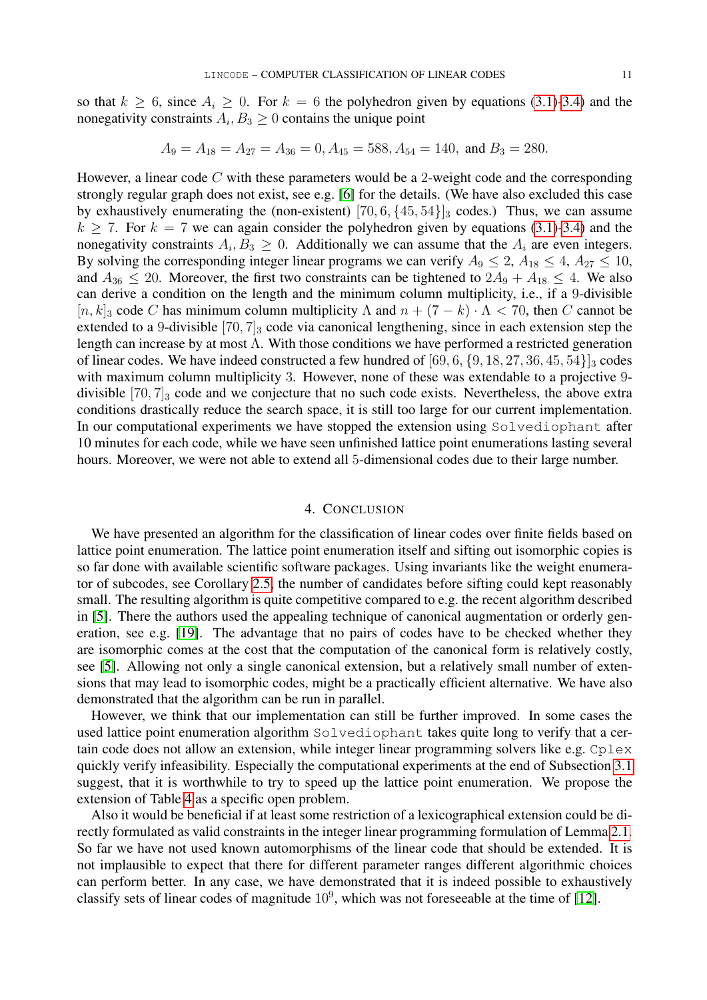so that  $k \ge 6$ , since  $A_i \ge 0$ . For  $k = 6$  the polyhedron given by equations [\(3.1\)-3.4\)](#page-9-3) and the nonegativity constraints  $A_i, B_3 \geq 0$  contains the unique point

$$
A_9 = A_{18} = A_{27} = A_{36} = 0
$$
,  $A_{45} = 588$ ,  $A_{54} = 140$ , and  $B_3 = 280$ .

However, a linear code  $C$  with these parameters would be a 2-weight code and the corresponding strongly regular graph does not exist, see e.g. [\[6\]](#page-11-22) for the details. (We have also excluded this case by exhaustively enumerating the (non-existent)  $[70, 6, \{45, 54\}]$ <sub>3</sub> codes.) Thus, we can assume  $k \ge 7$ . For  $k = 7$  we can again consider the polyhedron given by equations [\(3.1\)-3.4\)](#page-9-3) and the nonegativity constraints  $A_i, B_3 \geq 0$ . Additionally we can assume that the  $A_i$  are even integers. By solving the corresponding integer linear programs we can verify  $A_9 \le 2$ ,  $A_{18} \le 4$ ,  $A_{27} \le 10$ , and  $A_{36} \leq 20$ . Moreover, the first two constraints can be tightened to  $2A_9 + A_{18} \leq 4$ . We also can derive a condition on the length and the minimum column multiplicity, i.e., if a 9-divisible  $[n, k]_3$  code C has minimum column multiplicity  $\Lambda$  and  $n + (7 - k) \cdot \Lambda < 70$ , then C cannot be extended to a 9-divisible  $[70, 7]_3$  code via canonical lengthening, since in each extension step the length can increase by at most Λ. With those conditions we have performed a restricted generation of linear codes. We have indeed constructed a few hundred of  $[69, 6, \{9, 18, 27, 36, 45, 54\}]$ <sub>3</sub> codes with maximum column multiplicity 3. However, none of these was extendable to a projective 9divisible  $[70, 7]_3$  code and we conjecture that no such code exists. Nevertheless, the above extra conditions drastically reduce the search space, it is still too large for our current implementation. In our computational experiments we have stopped the extension using Solvediophant after 10 minutes for each code, while we have seen unfinished lattice point enumerations lasting several hours. Moreover, we were not able to extend all 5-dimensional codes due to their large number.

#### 4. CONCLUSION

<span id="page-10-0"></span>We have presented an algorithm for the classification of linear codes over finite fields based on lattice point enumeration. The lattice point enumeration itself and sifting out isomorphic copies is so far done with available scientific software packages. Using invariants like the weight enumerator of subcodes, see Corollary [2.5,](#page-5-1) the number of candidates before sifting could kept reasonably small. The resulting algorithm is quite competitive compared to e.g. the recent algorithm described in [\[5\]](#page-11-7). There the authors used the appealing technique of canonical augmentation or orderly generation, see e.g. [\[19\]](#page-11-23). The advantage that no pairs of codes have to be checked whether they are isomorphic comes at the cost that the computation of the canonical form is relatively costly, see [\[5\]](#page-11-7). Allowing not only a single canonical extension, but a relatively small number of extensions that may lead to isomorphic codes, might be a practically efficient alternative. We have also demonstrated that the algorithm can be run in parallel.

However, we think that our implementation can still be further improved. In some cases the used lattice point enumeration algorithm Solvediophant takes quite long to verify that a certain code does not allow an extension, while integer linear programming solvers like e.g.  $C_{\text{P}}$ quickly verify infeasibility. Especially the computational experiments at the end of Subsection [3.1](#page-9-0) suggest, that it is worthwhile to try to speed up the lattice point enumeration. We propose the extension of Table [4](#page-8-1) as a specific open problem.

Also it would be beneficial if at least some restriction of a lexicographical extension could be directly formulated as valid constraints in the integer linear programming formulation of Lemma [2.1.](#page-2-2) So far we have not used known automorphisms of the linear code that should be extended. It is not implausible to expect that there for different parameter ranges different algorithmic choices can perform better. In any case, we have demonstrated that it is indeed possible to exhaustively classify sets of linear codes of magnitude  $10^9$ , which was not foreseeable at the time of [\[12\]](#page-11-5).